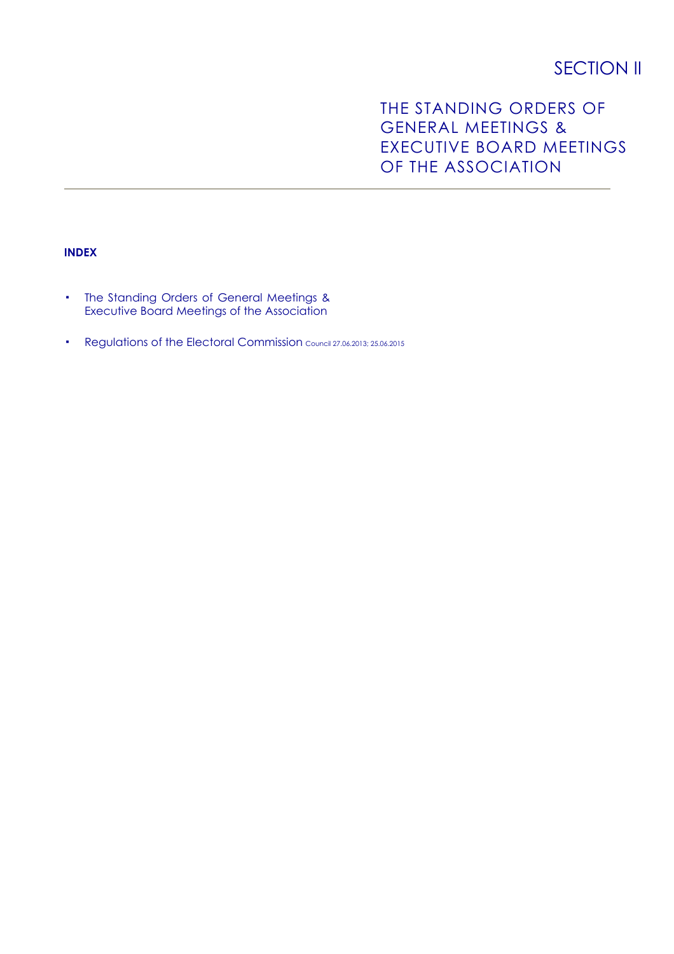# **SECTION II**

# THE STANDING ORDERS OF GENERAL MEETINGS & EXECUTIVE BOARD MEETINGS OF THE ASSOCIATION

# **INDEX**

- The Standing Orders of General Meetings & Executive Board Meetings of the Association
- Regulations of the Electoral Commission Council 27.06.2013; 25.06.2015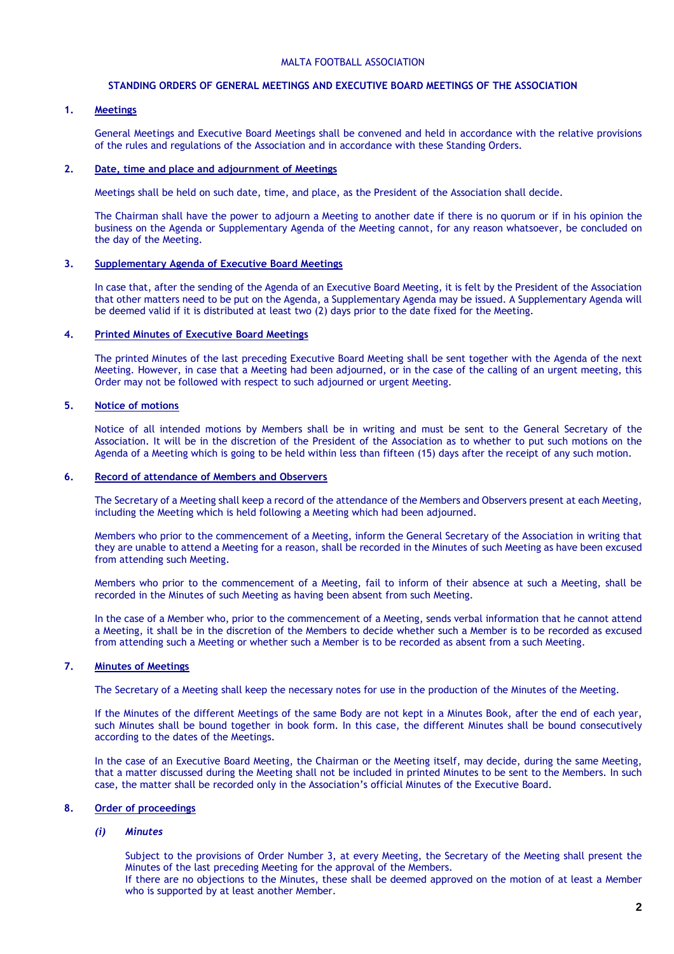#### MALTA FOOTBALL ASSOCIATION

#### **STANDING ORDERS OF GENERAL MEETINGS AND EXECUTIVE BOARD MEETINGS OF THE ASSOCIATION**

# **1. Meetings**

General Meetings and Executive Board Meetings shall be convened and held in accordance with the relative provisions of the rules and regulations of the Association and in accordance with these Standing Orders.

# **2. Date, time and place and adjournment of Meetings**

Meetings shall be held on such date, time, and place, as the President of the Association shall decide.

The Chairman shall have the power to adjourn a Meeting to another date if there is no quorum or if in his opinion the business on the Agenda or Supplementary Agenda of the Meeting cannot, for any reason whatsoever, be concluded on the day of the Meeting.

#### **3. Supplementary Agenda of Executive Board Meetings**

In case that, after the sending of the Agenda of an Executive Board Meeting, it is felt by the President of the Association that other matters need to be put on the Agenda, a Supplementary Agenda may be issued. A Supplementary Agenda will be deemed valid if it is distributed at least two (2) days prior to the date fixed for the Meeting.

# **4. Printed Minutes of Executive Board Meetings**

The printed Minutes of the last preceding Executive Board Meeting shall be sent together with the Agenda of the next Meeting. However, in case that a Meeting had been adjourned, or in the case of the calling of an urgent meeting, this Order may not be followed with respect to such adjourned or urgent Meeting.

# **5. Notice of motions**

Notice of all intended motions by Members shall be in writing and must be sent to the General Secretary of the Association. It will be in the discretion of the President of the Association as to whether to put such motions on the Agenda of a Meeting which is going to be held within less than fifteen (15) days after the receipt of any such motion.

# **6. Record of attendance of Members and Observers**

The Secretary of a Meeting shall keep a record of the attendance of the Members and Observers present at each Meeting, including the Meeting which is held following a Meeting which had been adjourned.

Members who prior to the commencement of a Meeting, inform the General Secretary of the Association in writing that they are unable to attend a Meeting for a reason, shall be recorded in the Minutes of such Meeting as have been excused from attending such Meeting.

Members who prior to the commencement of a Meeting, fail to inform of their absence at such a Meeting, shall be recorded in the Minutes of such Meeting as having been absent from such Meeting.

In the case of a Member who, prior to the commencement of a Meeting, sends verbal information that he cannot attend a Meeting, it shall be in the discretion of the Members to decide whether such a Member is to be recorded as excused from attending such a Meeting or whether such a Member is to be recorded as absent from a such Meeting.

## **7. Minutes of Meetings**

The Secretary of a Meeting shall keep the necessary notes for use in the production of the Minutes of the Meeting.

If the Minutes of the different Meetings of the same Body are not kept in a Minutes Book, after the end of each year, such Minutes shall be bound together in book form. In this case, the different Minutes shall be bound consecutively according to the dates of the Meetings.

In the case of an Executive Board Meeting, the Chairman or the Meeting itself, may decide, during the same Meeting, that a matter discussed during the Meeting shall not be included in printed Minutes to be sent to the Members. In such case, the matter shall be recorded only in the Association's official Minutes of the Executive Board.

## **8. Order of proceedings**

## *(i) Minutes*

Subject to the provisions of Order Number 3, at every Meeting, the Secretary of the Meeting shall present the Minutes of the last preceding Meeting for the approval of the Members. If there are no objections to the Minutes, these shall be deemed approved on the motion of at least a Member who is supported by at least another Member.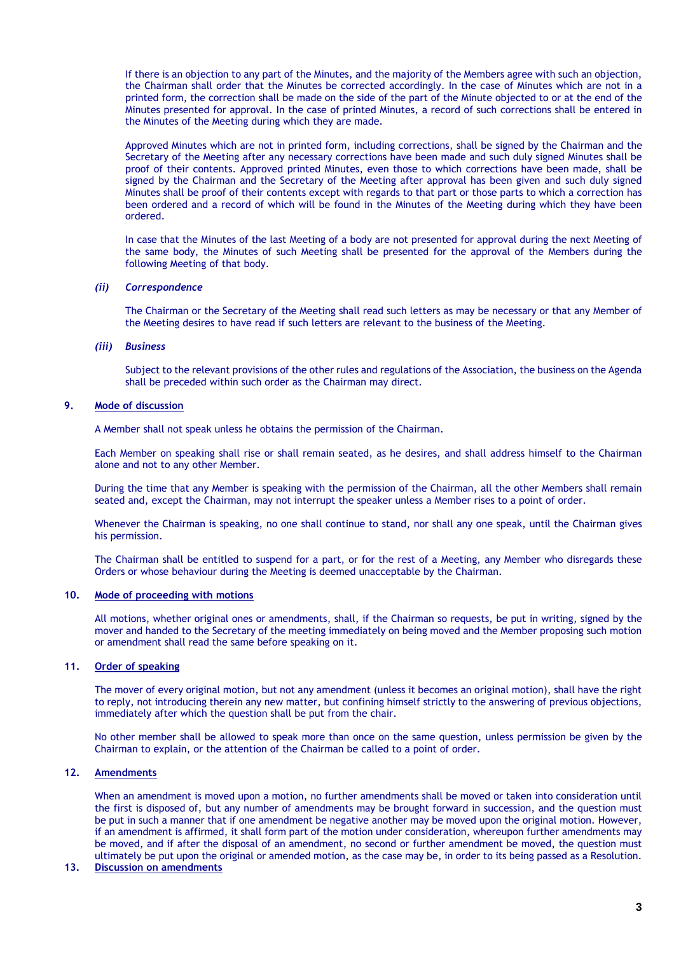If there is an objection to any part of the Minutes, and the majority of the Members agree with such an objection, the Chairman shall order that the Minutes be corrected accordingly. In the case of Minutes which are not in a printed form, the correction shall be made on the side of the part of the Minute objected to or at the end of the Minutes presented for approval. In the case of printed Minutes, a record of such corrections shall be entered in the Minutes of the Meeting during which they are made.

Approved Minutes which are not in printed form, including corrections, shall be signed by the Chairman and the Secretary of the Meeting after any necessary corrections have been made and such duly signed Minutes shall be proof of their contents. Approved printed Minutes, even those to which corrections have been made, shall be signed by the Chairman and the Secretary of the Meeting after approval has been given and such duly signed Minutes shall be proof of their contents except with regards to that part or those parts to which a correction has been ordered and a record of which will be found in the Minutes of the Meeting during which they have been ordered.

In case that the Minutes of the last Meeting of a body are not presented for approval during the next Meeting of the same body, the Minutes of such Meeting shall be presented for the approval of the Members during the following Meeting of that body.

## *(ii) Correspondence*

The Chairman or the Secretary of the Meeting shall read such letters as may be necessary or that any Member of the Meeting desires to have read if such letters are relevant to the business of the Meeting.

#### *(iii) Business*

Subject to the relevant provisions of the other rules and regulations of the Association, the business on the Agenda shall be preceded within such order as the Chairman may direct.

# **9. Mode of discussion**

A Member shall not speak unless he obtains the permission of the Chairman.

Each Member on speaking shall rise or shall remain seated, as he desires, and shall address himself to the Chairman alone and not to any other Member.

During the time that any Member is speaking with the permission of the Chairman, all the other Members shall remain seated and, except the Chairman, may not interrupt the speaker unless a Member rises to a point of order.

Whenever the Chairman is speaking, no one shall continue to stand, nor shall any one speak, until the Chairman gives his permission.

The Chairman shall be entitled to suspend for a part, or for the rest of a Meeting, any Member who disregards these Orders or whose behaviour during the Meeting is deemed unacceptable by the Chairman.

#### **10. Mode of proceeding with motions**

All motions, whether original ones or amendments, shall, if the Chairman so requests, be put in writing, signed by the mover and handed to the Secretary of the meeting immediately on being moved and the Member proposing such motion or amendment shall read the same before speaking on it.

# **11. Order of speaking**

The mover of every original motion, but not any amendment (unless it becomes an original motion), shall have the right to reply, not introducing therein any new matter, but confining himself strictly to the answering of previous objections, immediately after which the question shall be put from the chair.

No other member shall be allowed to speak more than once on the same question, unless permission be given by the Chairman to explain, or the attention of the Chairman be called to a point of order.

## **12. Amendments**

When an amendment is moved upon a motion, no further amendments shall be moved or taken into consideration until the first is disposed of, but any number of amendments may be brought forward in succession, and the question must be put in such a manner that if one amendment be negative another may be moved upon the original motion. However, if an amendment is affirmed, it shall form part of the motion under consideration, whereupon further amendments may be moved, and if after the disposal of an amendment, no second or further amendment be moved, the question must ultimately be put upon the original or amended motion, as the case may be, in order to its being passed as a Resolution.

## **13. Discussion on amendments**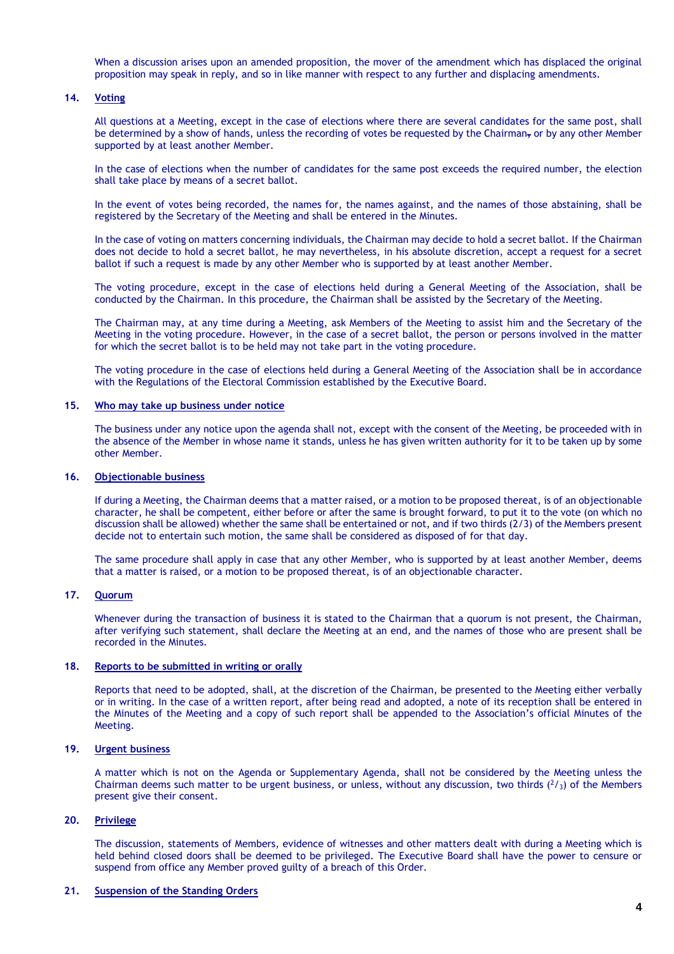When a discussion arises upon an amended proposition, the mover of the amendment which has displaced the original proposition may speak in reply, and so in like manner with respect to any further and displacing amendments.

## **14. Voting**

All questions at a Meeting, except in the case of elections where there are several candidates for the same post, shall be determined by a show of hands, unless the recording of votes be requested by the Chairman<sub>r</sub> or by any other Member supported by at least another Member.

In the case of elections when the number of candidates for the same post exceeds the required number, the election shall take place by means of a secret ballot.

In the event of votes being recorded, the names for, the names against, and the names of those abstaining, shall be registered by the Secretary of the Meeting and shall be entered in the Minutes.

In the case of voting on matters concerning individuals, the Chairman may decide to hold a secret ballot. If the Chairman does not decide to hold a secret ballot, he may nevertheless, in his absolute discretion, accept a request for a secret ballot if such a request is made by any other Member who is supported by at least another Member.

The voting procedure, except in the case of elections held during a General Meeting of the Association, shall be conducted by the Chairman. In this procedure, the Chairman shall be assisted by the Secretary of the Meeting.

The Chairman may, at any time during a Meeting, ask Members of the Meeting to assist him and the Secretary of the Meeting in the voting procedure. However, in the case of a secret ballot, the person or persons involved in the matter for which the secret ballot is to be held may not take part in the voting procedure.

The voting procedure in the case of elections held during a General Meeting of the Association shall be in accordance with the Regulations of the Electoral Commission established by the Executive Board.

## **15. Who may take up business under notice**

The business under any notice upon the agenda shall not, except with the consent of the Meeting, be proceeded with in the absence of the Member in whose name it stands, unless he has given written authority for it to be taken up by some other Member.

#### **16. Objectionable business**

If during a Meeting, the Chairman deems that a matter raised, or a motion to be proposed thereat, is of an objectionable character, he shall be competent, either before or after the same is brought forward, to put it to the vote (on which no discussion shall be allowed) whether the same shall be entertained or not, and if two thirds (2/3) of the Members present decide not to entertain such motion, the same shall be considered as disposed of for that day.

The same procedure shall apply in case that any other Member, who is supported by at least another Member, deems that a matter is raised, or a motion to be proposed thereat, is of an objectionable character.

#### **17. Quorum**

Whenever during the transaction of business it is stated to the Chairman that a quorum is not present, the Chairman, after verifying such statement, shall declare the Meeting at an end, and the names of those who are present shall be recorded in the Minutes.

## **18. Reports to be submitted in writing or orally**

Reports that need to be adopted, shall, at the discretion of the Chairman, be presented to the Meeting either verbally or in writing. In the case of a written report, after being read and adopted, a note of its reception shall be entered in the Minutes of the Meeting and a copy of such report shall be appended to the Association's official Minutes of the Meeting.

#### **19. Urgent business**

A matter which is not on the Agenda or Supplementary Agenda, shall not be considered by the Meeting unless the Chairman deems such matter to be urgent business, or unless, without any discussion, two thirds  $(^2/3)$  of the Members present give their consent.

## **20. Privilege**

The discussion, statements of Members, evidence of witnesses and other matters dealt with during a Meeting which is held behind closed doors shall be deemed to be privileged. The Executive Board shall have the power to censure or suspend from office any Member proved guilty of a breach of this Order.

## **21. Suspension of the Standing Orders**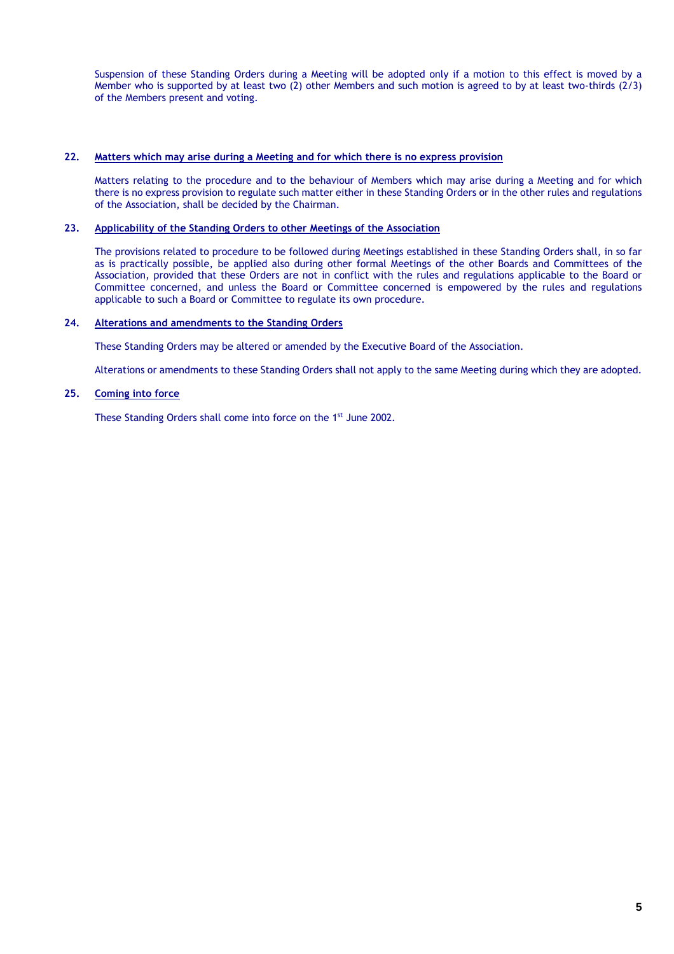Suspension of these Standing Orders during a Meeting will be adopted only if a motion to this effect is moved by a Member who is supported by at least two (2) other Members and such motion is agreed to by at least two-thirds (2/3) of the Members present and voting.

## **22. Matters which may arise during a Meeting and for which there is no express provision**

Matters relating to the procedure and to the behaviour of Members which may arise during a Meeting and for which there is no express provision to regulate such matter either in these Standing Orders or in the other rules and regulations of the Association, shall be decided by the Chairman.

# **23. Applicability of the Standing Orders to other Meetings of the Association**

The provisions related to procedure to be followed during Meetings established in these Standing Orders shall, in so far as is practically possible, be applied also during other formal Meetings of the other Boards and Committees of the Association, provided that these Orders are not in conflict with the rules and regulations applicable to the Board or Committee concerned, and unless the Board or Committee concerned is empowered by the rules and regulations applicable to such a Board or Committee to regulate its own procedure.

## **24. Alterations and amendments to the Standing Orders**

These Standing Orders may be altered or amended by the Executive Board of the Association.

Alterations or amendments to these Standing Orders shall not apply to the same Meeting during which they are adopted.

# **25. Coming into force**

These Standing Orders shall come into force on the 1<sup>st</sup> June 2002.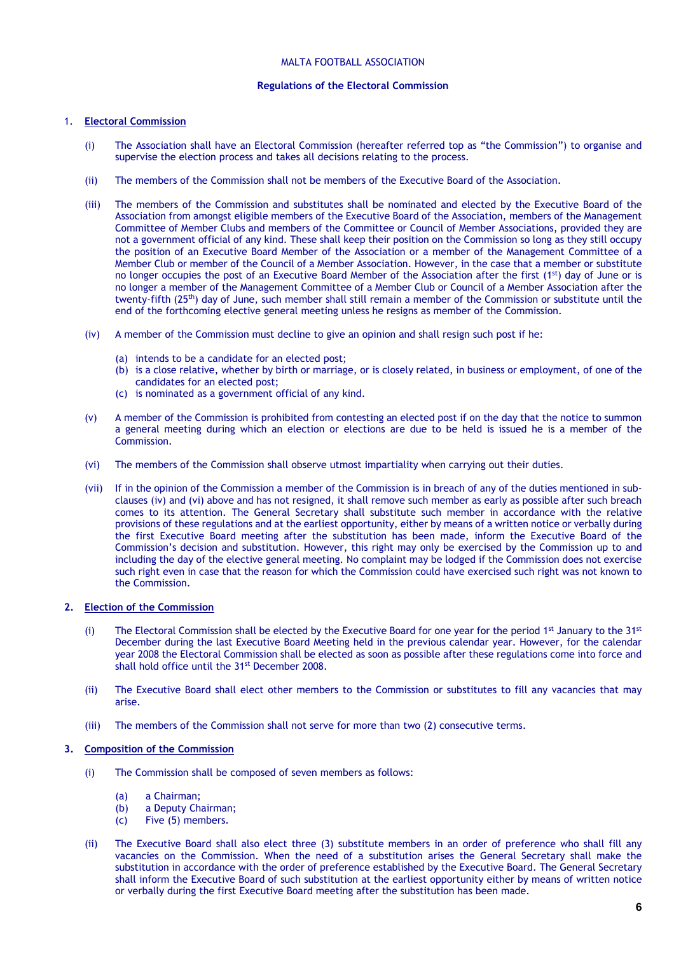## MALTA FOOTBALL ASSOCIATION

## **Regulations of the Electoral Commission**

# 1. **Electoral Commission**

- (i) The Association shall have an Electoral Commission (hereafter referred top as "the Commission") to organise and supervise the election process and takes all decisions relating to the process.
- (ii) The members of the Commission shall not be members of the Executive Board of the Association.
- (iii) The members of the Commission and substitutes shall be nominated and elected by the Executive Board of the Association from amongst eligible members of the Executive Board of the Association, members of the Management Committee of Member Clubs and members of the Committee or Council of Member Associations, provided they are not a government official of any kind. These shall keep their position on the Commission so long as they still occupy the position of an Executive Board Member of the Association or a member of the Management Committee of a Member Club or member of the Council of a Member Association. However, in the case that a member or substitute no longer occupies the post of an Executive Board Member of the Association after the first (1<sup>st</sup>) day of June or is no longer a member of the Management Committee of a Member Club or Council of a Member Association after the twenty-fifth (25<sup>th</sup>) day of June, such member shall still remain a member of the Commission or substitute until the end of the forthcoming elective general meeting unless he resigns as member of the Commission.
- (iv) A member of the Commission must decline to give an opinion and shall resign such post if he:
	- (a) intends to be a candidate for an elected post;
	- (b) is a close relative, whether by birth or marriage, or is closely related, in business or employment, of one of the candidates for an elected post;
	- (c) is nominated as a government official of any kind.
- (v) A member of the Commission is prohibited from contesting an elected post if on the day that the notice to summon a general meeting during which an election or elections are due to be held is issued he is a member of the Commission.
- (vi) The members of the Commission shall observe utmost impartiality when carrying out their duties.
- (vii) If in the opinion of the Commission a member of the Commission is in breach of any of the duties mentioned in subclauses (iv) and (vi) above and has not resigned, it shall remove such member as early as possible after such breach comes to its attention. The General Secretary shall substitute such member in accordance with the relative provisions of these regulations and at the earliest opportunity, either by means of a written notice or verbally during the first Executive Board meeting after the substitution has been made, inform the Executive Board of the Commission's decision and substitution. However, this right may only be exercised by the Commission up to and including the day of the elective general meeting. No complaint may be lodged if the Commission does not exercise such right even in case that the reason for which the Commission could have exercised such right was not known to the Commission.

# **2. Election of the Commission**

- (i) The Electoral Commission shall be elected by the Executive Board for one year for the period  $1<sup>st</sup>$  January to the  $31<sup>st</sup>$ December during the last Executive Board Meeting held in the previous calendar year. However, for the calendar year 2008 the Electoral Commission shall be elected as soon as possible after these regulations come into force and shall hold office until the 31st December 2008.
- (ii) The Executive Board shall elect other members to the Commission or substitutes to fill any vacancies that may arise.
- (iii) The members of the Commission shall not serve for more than two (2) consecutive terms.

# **3. Composition of the Commission**

- (i) The Commission shall be composed of seven members as follows:
	- (a) a Chairman;
	- (b) a Deputy Chairman;
	- (c) Five (5) members.
- (ii) The Executive Board shall also elect three (3) substitute members in an order of preference who shall fill any vacancies on the Commission. When the need of a substitution arises the General Secretary shall make the substitution in accordance with the order of preference established by the Executive Board. The General Secretary shall inform the Executive Board of such substitution at the earliest opportunity either by means of written notice or verbally during the first Executive Board meeting after the substitution has been made.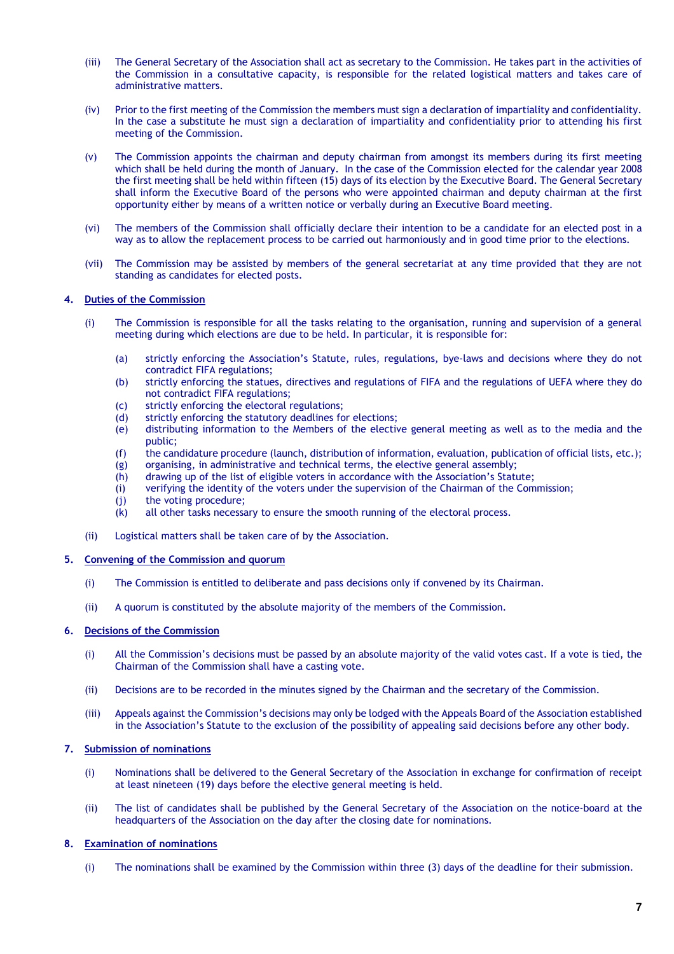- (iii) The General Secretary of the Association shall act as secretary to the Commission. He takes part in the activities of the Commission in a consultative capacity, is responsible for the related logistical matters and takes care of administrative matters.
- (iv) Prior to the first meeting of the Commission the members must sign a declaration of impartiality and confidentiality. In the case a substitute he must sign a declaration of impartiality and confidentiality prior to attending his first meeting of the Commission.
- (v) The Commission appoints the chairman and deputy chairman from amongst its members during its first meeting which shall be held during the month of January. In the case of the Commission elected for the calendar year 2008 the first meeting shall be held within fifteen (15) days of its election by the Executive Board. The General Secretary shall inform the Executive Board of the persons who were appointed chairman and deputy chairman at the first opportunity either by means of a written notice or verbally during an Executive Board meeting.
- (vi) The members of the Commission shall officially declare their intention to be a candidate for an elected post in a way as to allow the replacement process to be carried out harmoniously and in good time prior to the elections.
- (vii) The Commission may be assisted by members of the general secretariat at any time provided that they are not standing as candidates for elected posts.

## **4. Duties of the Commission**

- (i) The Commission is responsible for all the tasks relating to the organisation, running and supervision of a general meeting during which elections are due to be held. In particular, it is responsible for:
	- (a) strictly enforcing the Association's Statute, rules, regulations, bye-laws and decisions where they do not contradict FIFA regulations;
	- (b) strictly enforcing the statues, directives and regulations of FIFA and the regulations of UEFA where they do not contradict FIFA regulations;
	-
	- (c) strictly enforcing the electoral regulations;<br>(d) strictly enforcing the statutory deadlines fo strictly enforcing the statutory deadlines for elections;
	- (e) distributing information to the Members of the elective general meeting as well as to the media and the public;
	- (f) the candidature procedure (launch, distribution of information, evaluation, publication of official lists, etc.);
	- (g) organising, in administrative and technical terms, the elective general assembly;<br>(h) drawing up of the list of eligible voters in accordance with the Association's Statu
	- drawing up of the list of eligible voters in accordance with the Association's Statute;
	- (i) verifying the identity of the voters under the supervision of the Chairman of the Commission;
	- (j) the voting procedure;<br>(k) all other tasks necessar
	- all other tasks necessary to ensure the smooth running of the electoral process.
- (ii) Logistical matters shall be taken care of by the Association.
- **5. Convening of the Commission and quorum**
	- (i) The Commission is entitled to deliberate and pass decisions only if convened by its Chairman.
	- (ii) A quorum is constituted by the absolute majority of the members of the Commission.

# **6. Decisions of the Commission**

- (i) All the Commission's decisions must be passed by an absolute majority of the valid votes cast. If a vote is tied, the Chairman of the Commission shall have a casting vote.
- (ii) Decisions are to be recorded in the minutes signed by the Chairman and the secretary of the Commission.
- (iii) Appeals against the Commission's decisions may only be lodged with the Appeals Board of the Association established in the Association's Statute to the exclusion of the possibility of appealing said decisions before any other body.

# **7. Submission of nominations**

- (i) Nominations shall be delivered to the General Secretary of the Association in exchange for confirmation of receipt at least nineteen (19) days before the elective general meeting is held.
- (ii) The list of candidates shall be published by the General Secretary of the Association on the notice-board at the headquarters of the Association on the day after the closing date for nominations.

# **8. Examination of nominations**

(i) The nominations shall be examined by the Commission within three (3) days of the deadline for their submission.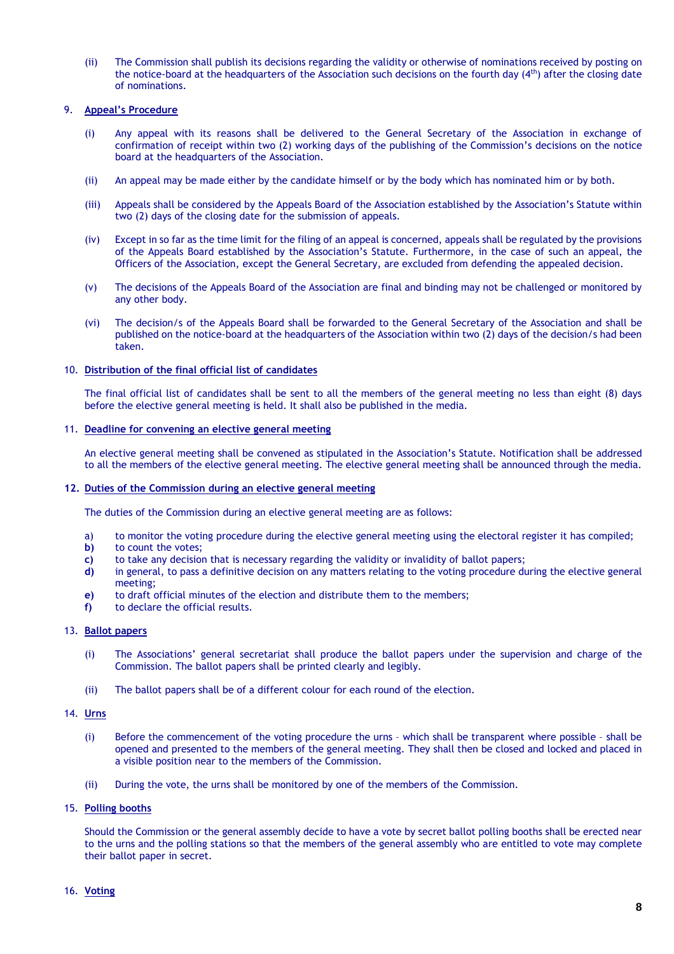(ii) The Commission shall publish its decisions regarding the validity or otherwise of nominations received by posting on the notice-board at the headquarters of the Association such decisions on the fourth day (4<sup>th</sup>) after the closing date of nominations.

# 9. **Appeal's Procedure**

- (i) Any appeal with its reasons shall be delivered to the General Secretary of the Association in exchange of confirmation of receipt within two (2) working days of the publishing of the Commission's decisions on the notice board at the headquarters of the Association.
- (ii) An appeal may be made either by the candidate himself or by the body which has nominated him or by both.
- (iii) Appeals shall be considered by the Appeals Board of the Association established by the Association's Statute within two (2) days of the closing date for the submission of appeals.
- (iv) Except in so far as the time limit for the filing of an appeal is concerned, appeals shall be regulated by the provisions of the Appeals Board established by the Association's Statute. Furthermore, in the case of such an appeal, the Officers of the Association, except the General Secretary, are excluded from defending the appealed decision.
- (v) The decisions of the Appeals Board of the Association are final and binding may not be challenged or monitored by any other body.
- (vi) The decision/s of the Appeals Board shall be forwarded to the General Secretary of the Association and shall be published on the notice-board at the headquarters of the Association within two (2) days of the decision/s had been taken.

# 10. **Distribution of the final official list of candidates**

The final official list of candidates shall be sent to all the members of the general meeting no less than eight (8) days before the elective general meeting is held. It shall also be published in the media.

## 11. **Deadline for convening an elective general meeting**

An elective general meeting shall be convened as stipulated in the Association's Statute. Notification shall be addressed to all the members of the elective general meeting. The elective general meeting shall be announced through the media.

## **12. Duties of the Commission during an elective general meeting**

The duties of the Commission during an elective general meeting are as follows:

- a) to monitor the voting procedure during the elective general meeting using the electoral register it has compiled;
- **b)** to count the votes;
- **c)** to take any decision that is necessary regarding the validity or invalidity of ballot papers;
- **d)** in general, to pass a definitive decision on any matters relating to the voting procedure during the elective general meeting;
- **e)** to draft official minutes of the election and distribute them to the members;
- **f)** to declare the official results.

# 13. **Ballot papers**

- (i) The Associations' general secretariat shall produce the ballot papers under the supervision and charge of the Commission. The ballot papers shall be printed clearly and legibly.
- (ii) The ballot papers shall be of a different colour for each round of the election.

## 14. **Urns**

- (i) Before the commencement of the voting procedure the urns which shall be transparent where possible shall be opened and presented to the members of the general meeting. They shall then be closed and locked and placed in a visible position near to the members of the Commission.
- (ii) During the vote, the urns shall be monitored by one of the members of the Commission.

## 15. **Polling booths**

Should the Commission or the general assembly decide to have a vote by secret ballot polling booths shall be erected near to the urns and the polling stations so that the members of the general assembly who are entitled to vote may complete their ballot paper in secret.

## 16. **Voting**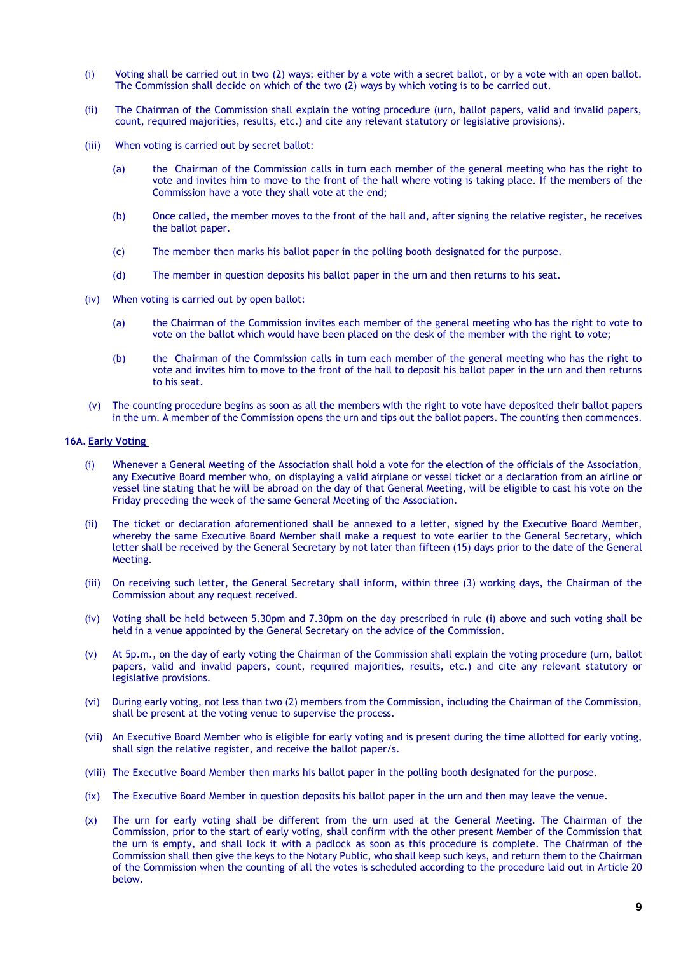- (i) Voting shall be carried out in two (2) ways; either by a vote with a secret ballot, or by a vote with an open ballot. The Commission shall decide on which of the two (2) ways by which voting is to be carried out.
- (ii) The Chairman of the Commission shall explain the voting procedure (urn, ballot papers, valid and invalid papers, count, required majorities, results, etc.) and cite any relevant statutory or legislative provisions).
- (iii) When voting is carried out by secret ballot:
	- (a) the Chairman of the Commission calls in turn each member of the general meeting who has the right to vote and invites him to move to the front of the hall where voting is taking place. If the members of the Commission have a vote they shall vote at the end;
	- (b) Once called, the member moves to the front of the hall and, after signing the relative register, he receives the ballot paper.
	- (c) The member then marks his ballot paper in the polling booth designated for the purpose.
	- (d) The member in question deposits his ballot paper in the urn and then returns to his seat.
- (iv) When voting is carried out by open ballot:
	- (a) the Chairman of the Commission invites each member of the general meeting who has the right to vote to vote on the ballot which would have been placed on the desk of the member with the right to vote;
	- (b) the Chairman of the Commission calls in turn each member of the general meeting who has the right to vote and invites him to move to the front of the hall to deposit his ballot paper in the urn and then returns to his seat.
- (v) The counting procedure begins as soon as all the members with the right to vote have deposited their ballot papers in the urn. A member of the Commission opens the urn and tips out the ballot papers. The counting then commences.

#### **16A. Early Voting**

- (i) Whenever a General Meeting of the Association shall hold a vote for the election of the officials of the Association, any Executive Board member who, on displaying a valid airplane or vessel ticket or a declaration from an airline or vessel line stating that he will be abroad on the day of that General Meeting, will be eligible to cast his vote on the Friday preceding the week of the same General Meeting of the Association.
- (ii) The ticket or declaration aforementioned shall be annexed to a letter, signed by the Executive Board Member, whereby the same Executive Board Member shall make a request to vote earlier to the General Secretary, which letter shall be received by the General Secretary by not later than fifteen (15) days prior to the date of the General Meeting.
- (iii) On receiving such letter, the General Secretary shall inform, within three (3) working days, the Chairman of the Commission about any request received.
- (iv) Voting shall be held between 5.30pm and 7.30pm on the day prescribed in rule (i) above and such voting shall be held in a venue appointed by the General Secretary on the advice of the Commission.
- (v) At 5p.m., on the day of early voting the Chairman of the Commission shall explain the voting procedure (urn, ballot papers, valid and invalid papers, count, required majorities, results, etc.) and cite any relevant statutory or legislative provisions.
- (vi) During early voting, not less than two (2) members from the Commission, including the Chairman of the Commission, shall be present at the voting venue to supervise the process.
- (vii) An Executive Board Member who is eligible for early voting and is present during the time allotted for early voting, shall sign the relative register, and receive the ballot paper/s.
- (viii) The Executive Board Member then marks his ballot paper in the polling booth designated for the purpose.
- (ix) The Executive Board Member in question deposits his ballot paper in the urn and then may leave the venue.
- (x) The urn for early voting shall be different from the urn used at the General Meeting. The Chairman of the Commission, prior to the start of early voting, shall confirm with the other present Member of the Commission that the urn is empty, and shall lock it with a padlock as soon as this procedure is complete. The Chairman of the Commission shall then give the keys to the Notary Public, who shall keep such keys, and return them to the Chairman of the Commission when the counting of all the votes is scheduled according to the procedure laid out in Article 20 below.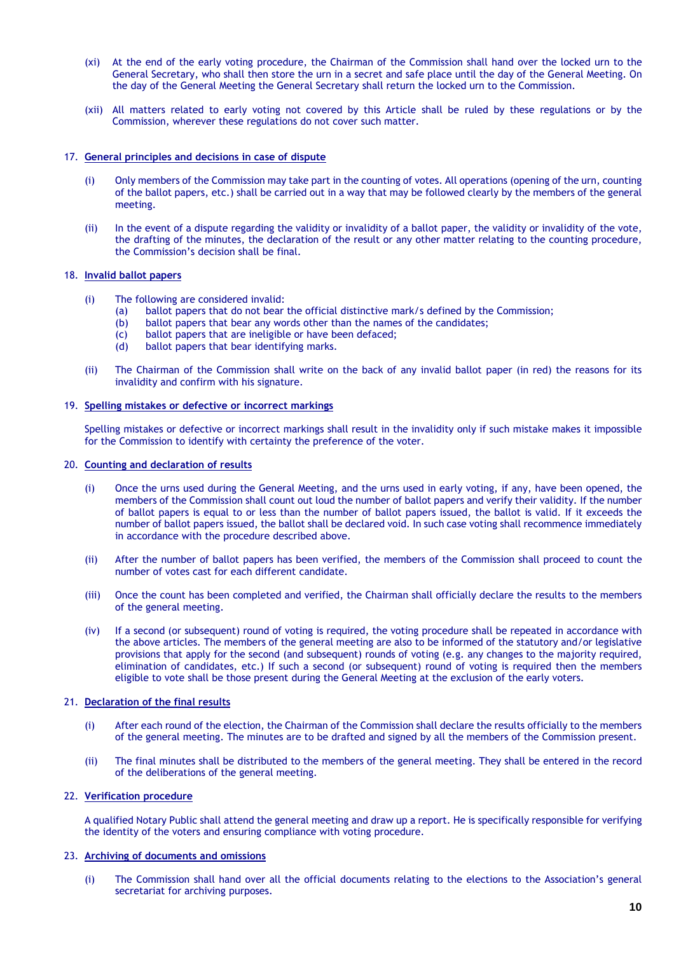- (xi) At the end of the early voting procedure, the Chairman of the Commission shall hand over the locked urn to the General Secretary, who shall then store the urn in a secret and safe place until the day of the General Meeting. On the day of the General Meeting the General Secretary shall return the locked urn to the Commission.
- (xii) All matters related to early voting not covered by this Article shall be ruled by these regulations or by the Commission, wherever these regulations do not cover such matter.

## 17. **General principles and decisions in case of dispute**

- (i) Only members of the Commission may take part in the counting of votes. All operations (opening of the urn, counting of the ballot papers, etc.) shall be carried out in a way that may be followed clearly by the members of the general meeting.
- (ii) In the event of a dispute regarding the validity or invalidity of a ballot paper, the validity or invalidity of the vote, the drafting of the minutes, the declaration of the result or any other matter relating to the counting procedure, the Commission's decision shall be final.

## 18. **Invalid ballot papers**

- (i) The following are considered invalid:
	- (a) ballot papers that do not bear the official distinctive mark/s defined by the Commission;
	- (b) ballot papers that bear any words other than the names of the candidates;  $(c)$  ballot papers that are ineligible or have been defaced;
	- (c) ballot papers that are ineligible or have been defaced;<br>(d) ballot papers that bear identifying marks.
	- ballot papers that bear identifying marks.
- (ii) The Chairman of the Commission shall write on the back of any invalid ballot paper (in red) the reasons for its invalidity and confirm with his signature.

## 19. **Spelling mistakes or defective or incorrect markings**

Spelling mistakes or defective or incorrect markings shall result in the invalidity only if such mistake makes it impossible for the Commission to identify with certainty the preference of the voter.

# 20. **Counting and declaration of results**

- (i) Once the urns used during the General Meeting, and the urns used in early voting, if any, have been opened, the members of the Commission shall count out loud the number of ballot papers and verify their validity. If the number of ballot papers is equal to or less than the number of ballot papers issued, the ballot is valid. If it exceeds the number of ballot papers issued, the ballot shall be declared void. In such case voting shall recommence immediately in accordance with the procedure described above.
- (ii) After the number of ballot papers has been verified, the members of the Commission shall proceed to count the number of votes cast for each different candidate.
- (iii) Once the count has been completed and verified, the Chairman shall officially declare the results to the members of the general meeting.
- (iv) If a second (or subsequent) round of voting is required, the voting procedure shall be repeated in accordance with the above articles. The members of the general meeting are also to be informed of the statutory and/or legislative provisions that apply for the second (and subsequent) rounds of voting (e.g. any changes to the majority required, elimination of candidates, etc.) If such a second (or subsequent) round of voting is required then the members eligible to vote shall be those present during the General Meeting at the exclusion of the early voters.

# 21. **Declaration of the final results**

- (i) After each round of the election, the Chairman of the Commission shall declare the results officially to the members of the general meeting. The minutes are to be drafted and signed by all the members of the Commission present.
- (ii) The final minutes shall be distributed to the members of the general meeting. They shall be entered in the record of the deliberations of the general meeting.

## 22. **Verification procedure**

A qualified Notary Public shall attend the general meeting and draw up a report. He is specifically responsible for verifying the identity of the voters and ensuring compliance with voting procedure.

# 23. **Archiving of documents and omissions**

(i) The Commission shall hand over all the official documents relating to the elections to the Association's general secretariat for archiving purposes.